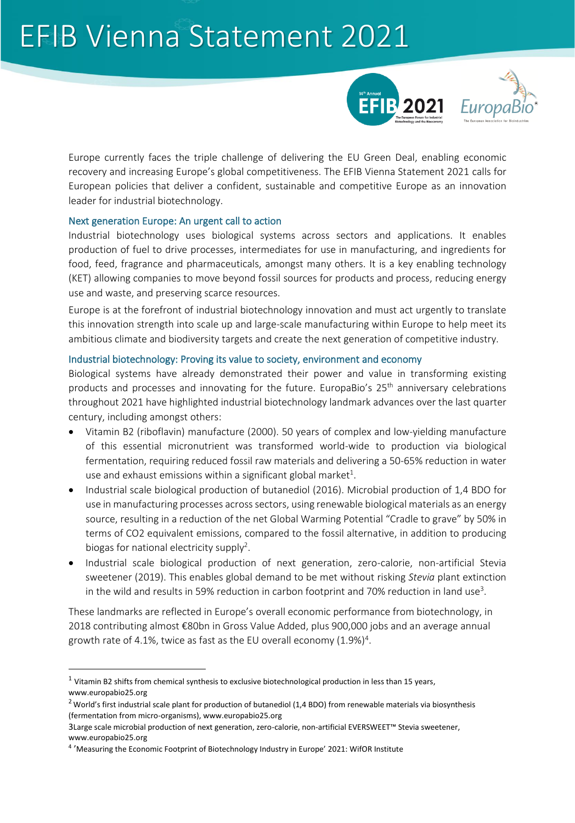## EFIB Vienna Statement 2021





Europe currently faces the triple challenge of delivering the EU Green Deal, enabling economic recovery and increasing Europe's global competitiveness. The EFIB Vienna Statement 2021 calls for European policies that deliver a confident, sustainable and competitive Europe as an innovation leader for industrial biotechnology.

### Next generation Europe: An urgent call to action

Industrial biotechnology uses biological systems across sectors and applications. It enables production of fuel to drive processes, intermediates for use in manufacturing, and ingredients for food, feed, fragrance and pharmaceuticals, amongst many others. It is a key enabling technology (KET) allowing companies to move beyond fossil sources for products and process, reducing energy use and waste, and preserving scarce resources.

Europe is at the forefront of industrial biotechnology innovation and must act urgently to translate this innovation strength into scale up and large-scale manufacturing within Europe to help meet its ambitious climate and biodiversity targets and create the next generation of competitive industry.

#### Industrial biotechnology: Proving its value to society, environment and economy

Biological systems have already demonstrated their power and value in transforming existing products and processes and innovating for the future. EuropaBio's 25<sup>th</sup> anniversary celebrations throughout 2021 have highlighted industrial biotechnology landmark advances over the last quarter century, including amongst others:

- Vitamin B2 (riboflavin) manufacture (2000). 50 years of complex and low-yielding manufacture of this essential micronutrient was transformed world-wide to production via biological fermentation, requiring reduced fossil raw materials and delivering a 50-65% reduction in water use and exhaust emissions within a significant global market $^1$ .
- Industrial scale biological production of butanediol (2016). Microbial production of 1,4 BDO for use in manufacturing processes across sectors, using renewable biological materials as an energy source, resulting in a reduction of the net Global Warming Potential "Cradle to grave" by 50% in terms of CO2 equivalent emissions, compared to the fossil alternative, in addition to producing biogas for national electricity supply<sup>2</sup>.
- Industrial scale biological production of next generation, zero-calorie, non-artificial Stevia sweetener (2019). This enables global demand to be met without risking *Stevia* plant extinction in the wild and results in 59% reduction in carbon footprint and 70% reduction in land use<sup>3</sup>.

These landmarks are reflected in Europe's overall economic performance from biotechnology, in 2018 contributing almost €80bn in Gross Value Added, plus 900,000 jobs and an average annual growth rate of 4.1%, twice as fast as the EU overall economy  $(1.9\%)^4$ .

 $<sup>1</sup>$  Vitamin B2 shifts from chemical synthesis to exclusive biotechnological production in less than 15 years,</sup> [www.europabio25.org](http://www.europabio25.org/)

 $2$  World's first industrial scale plant for production of butanediol (1,4 BDO) from renewable materials via biosynthesis (fermentation from micro-organisms), www.europabio25.org

<sup>3</sup>Large scale microbial production of next generation, zero-calorie, non-artificial EVERSWEET™ Stevia sweetener, www.europabio25.org

<sup>&</sup>lt;sup>4</sup> '[Measuring the Economic Footprint of Biotechnology Industry in Europe'](https://www.europabio.org/wp-content/uploads/2021/02/201208_WifOR_EuropaBIO_Economic_Impact_Biotech_FINAL.pdf) 2021: WifOR Institute